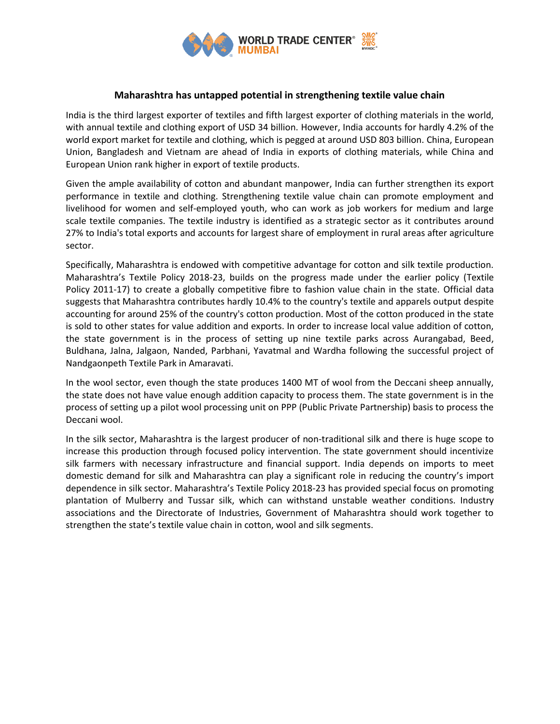

## **Maharashtra has untapped potential in strengthening textile value chain**

India is the third largest exporter of textiles and fifth largest exporter of clothing materials in the world, with annual textile and clothing export of USD 34 billion. However, India accounts for hardly 4.2% of the world export market for textile and clothing, which is pegged at around USD 803 billion. China, European Union, Bangladesh and Vietnam are ahead of India in exports of clothing materials, while China and European Union rank higher in export of textile products.

Given the ample availability of cotton and abundant manpower, India can further strengthen its export performance in textile and clothing. Strengthening textile value chain can promote employment and livelihood for women and self-employed youth, who can work as job workers for medium and large scale textile companies. The textile industry is identified as a strategic sector as it contributes around 27% to India's total exports and accounts for largest share of employment in rural areas after agriculture sector.

Specifically, Maharashtra is endowed with competitive advantage for cotton and silk textile production. Maharashtra's Textile Policy 2018-23, builds on the progress made under the earlier policy (Textile Policy 2011-17) to create a globally competitive fibre to fashion value chain in the state. Official data suggests that Maharashtra contributes hardly 10.4% to the country's textile and apparels output despite accounting for around 25% of the country's cotton production. Most of the cotton produced in the state is sold to other states for value addition and exports. In order to increase local value addition of cotton, the state government is in the process of setting up nine textile parks across Aurangabad, Beed, Buldhana, Jalna, Jalgaon, Nanded, Parbhani, Yavatmal and Wardha following the successful project of Nandgaonpeth Textile Park in Amaravati.

In the wool sector, even though the state produces 1400 MT of wool from the Deccani sheep annually, the state does not have value enough addition capacity to process them. The state government is in the process of setting up a pilot wool processing unit on PPP (Public Private Partnership) basis to process the Deccani wool.

In the silk sector, Maharashtra is the largest producer of non-traditional silk and there is huge scope to increase this production through focused policy intervention. The state government should incentivize silk farmers with necessary infrastructure and financial support. India depends on imports to meet domestic demand for silk and Maharashtra can play a significant role in reducing the country's import dependence in silk sector. Maharashtra's Textile Policy 2018-23 has provided special focus on promoting plantation of Mulberry and Tussar silk, which can withstand unstable weather conditions. Industry associations and the Directorate of Industries, Government of Maharashtra should work together to strengthen the state's textile value chain in cotton, wool and silk segments.